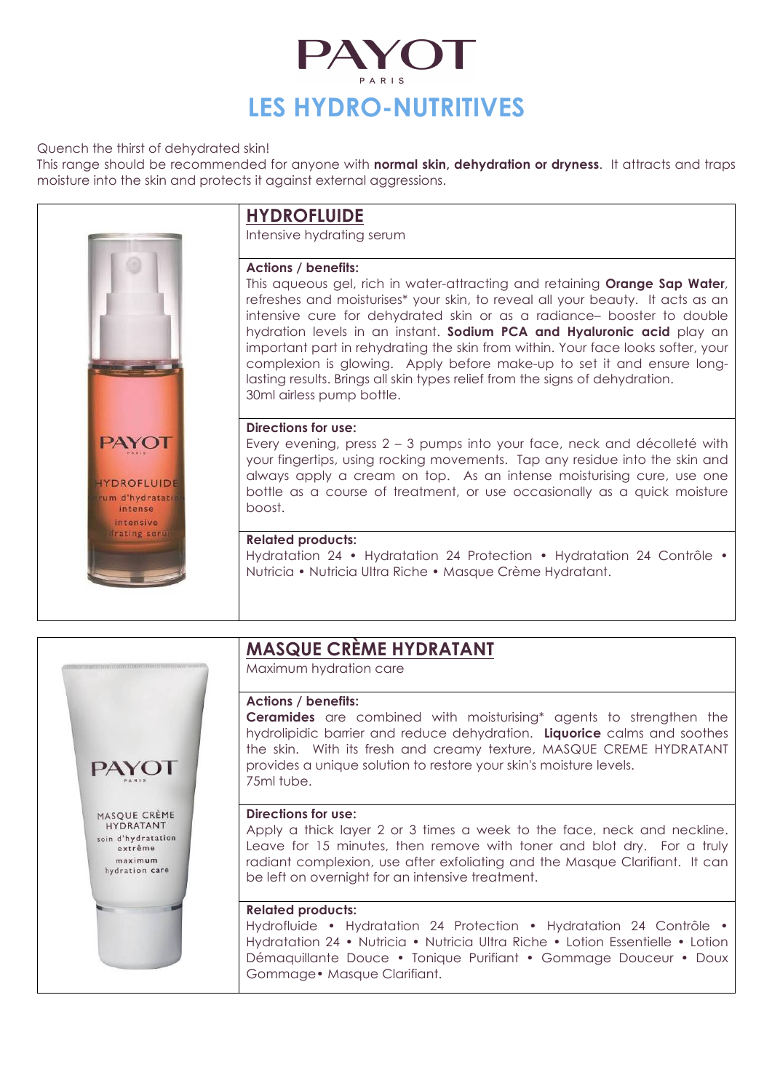

Quench the thirst of dehydrated skin!

This range should be recommended for anyone with **normal skin, dehydration or dryness**. It attracts and traps moisture into the skin and protects it against external aggressions.



# **HYDROFLUIDE**

Intensive hydrating serum

# **Actions / benefits:**

This aqueous gel, rich in water-attracting and retaining **Orange Sap Water**, refreshes and moisturises\* your skin, to reveal all your beauty. It acts as an intensive cure for dehydrated skin or as a radiance– booster to double hydration levels in an instant. **Sodium PCA and Hyaluronic acid** play an important part in rehydrating the skin from within. Your face looks softer, your complexion is glowing. Apply before make-up to set it and ensure longlasting results. Brings all skin types relief from the signs of dehydration. 30ml airless pump bottle.

## **Directions for use:**

Every evening, press 2 – 3 pumps into your face, neck and décolleté with your fingertips, using rocking movements. Tap any residue into the skin and always apply a cream on top. As an intense moisturising cure, use one bottle as a course of treatment, or use occasionally as a quick moisture boost.

# **Related products:**

Hydratation 24 • Hydratation 24 Protection • Hydratation 24 Contrôle • Nutricia • Nutricia Ultra Riche • Masque Crème Hydratant.



# **MASQUE CRÈME HYDRATANT**

Maximum hydration care

### **Actions / benefits:**

**Ceramides** are combined with moisturising\* agents to strengthen the hydrolipidic barrier and reduce dehydration. **Liquorice** calms and soothes the skin. With its fresh and creamy texture, MASQUE CREME HYDRATANT provides a unique solution to restore your skin's moisture levels. 75ml tube.

### **Directions for use:**

Apply a thick layer 2 or 3 times a week to the face, neck and neckline. Leave for 15 minutes, then remove with toner and blot dry. For a truly radiant complexion, use after exfoliating and the Masque Clarifiant. It can be left on overnight for an intensive treatment.

### **Related products:**

Hydrofluide • Hydratation 24 Protection • Hydratation 24 Contrôle • Hydratation 24 • Nutricia • Nutricia Ultra Riche • Lotion Essentielle • Lotion Démaquillante Douce • Tonique Purifiant • Gommage Douceur • Doux Gommage• Masque Clarifiant.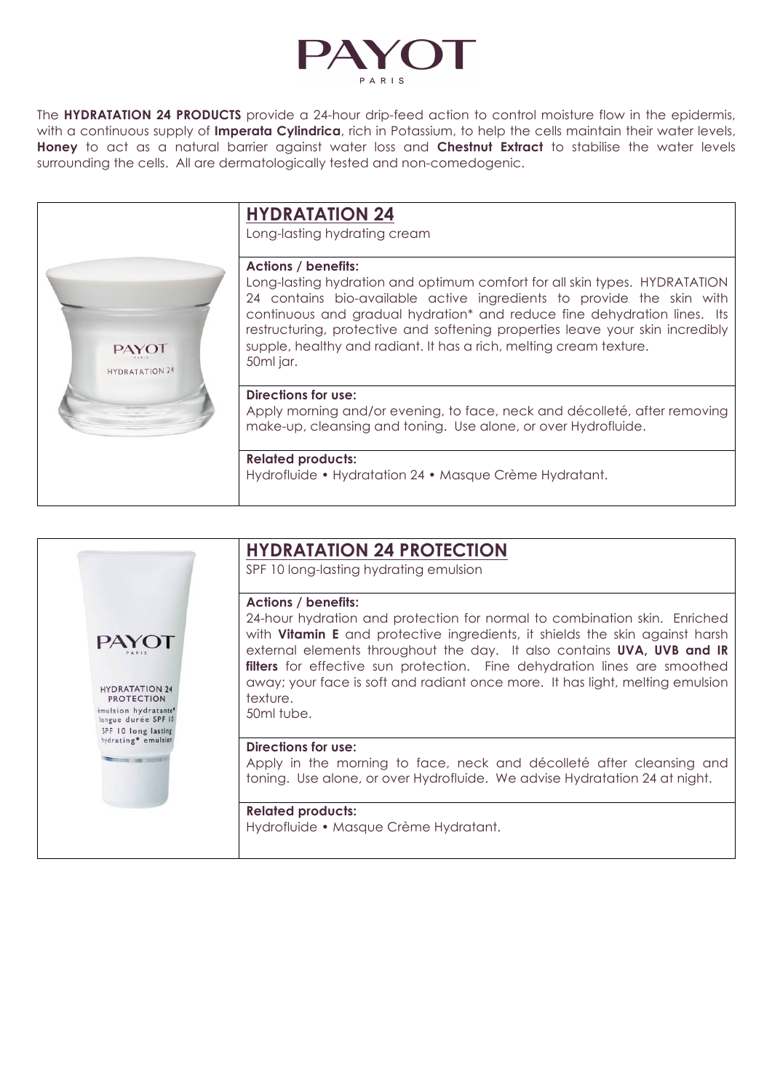

The **HYDRATATION 24 PRODUCTS** provide a 24-hour drip-feed action to control moisture flow in the epidermis, with a continuous supply of **Imperata Cylindrica**, rich in Potassium, to help the cells maintain their water levels, **Honey** to act as a natural barrier against water loss and **Chestnut Extract** to stabilise the water levels surrounding the cells. All are dermatologically tested and non-comedogenic.



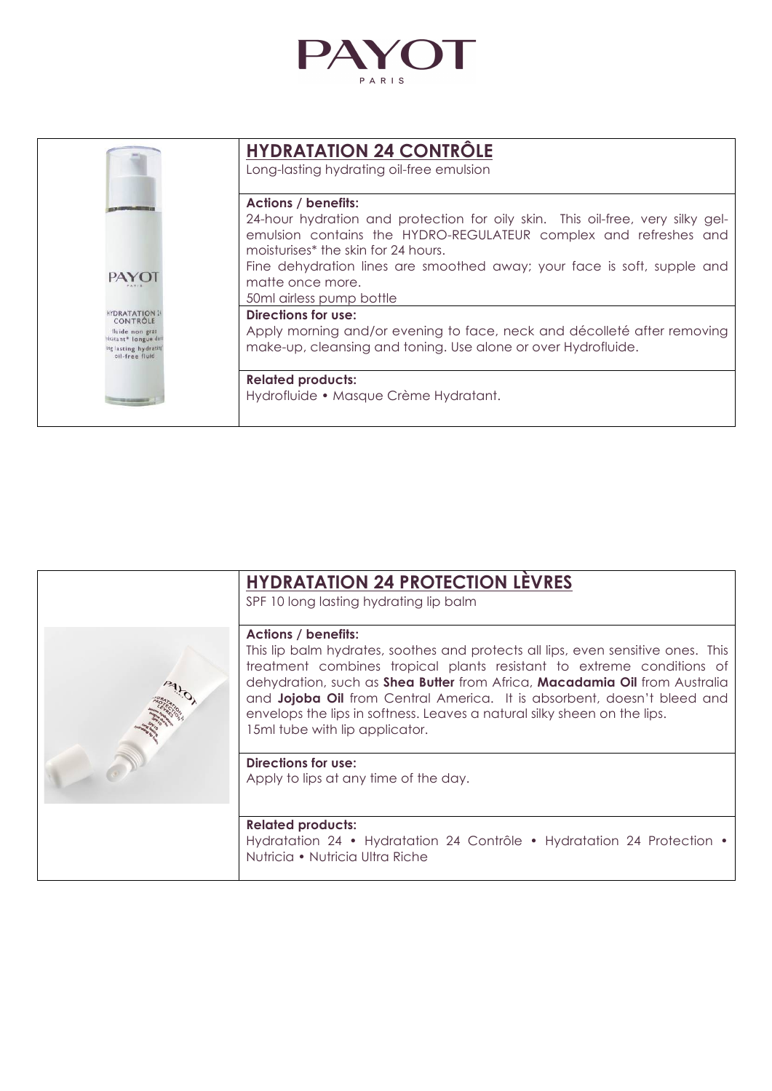

|                                                                | <b>HYDRATATION 24 CONTRÖLE</b>                                                                                                                                                                        |
|----------------------------------------------------------------|-------------------------------------------------------------------------------------------------------------------------------------------------------------------------------------------------------|
|                                                                | Long-lasting hydrating oil-free emulsion                                                                                                                                                              |
|                                                                | <b>Actions / benefits:</b>                                                                                                                                                                            |
|                                                                | 24-hour hydration and protection for oily skin. This oil-free, very silky gel-<br>emulsion contains the HYDRO-REGULATEUR complex and refreshes and<br>moisturises <sup>*</sup> the skin for 24 hours. |
| PAYO                                                           | Fine dehydration lines are smoothed away; your face is soft, supple and                                                                                                                               |
|                                                                | matte once more.                                                                                                                                                                                      |
|                                                                | 50ml airless pump bottle                                                                                                                                                                              |
| <b>HYDRATATION 24</b><br>CONTRÔLE                              | Directions for use:                                                                                                                                                                                   |
| fluide non gras                                                | Apply morning and/or evening to face, neck and décolleté after removing                                                                                                                               |
| tratant* longue dun<br>ing lasting hydrating<br>oil-free fluid | make-up, cleansing and toning. Use alone or over Hydrofluide.                                                                                                                                         |
|                                                                | <b>Related products:</b>                                                                                                                                                                              |
|                                                                | Hydrofluide • Masque Crème Hydratant.                                                                                                                                                                 |
|                                                                |                                                                                                                                                                                                       |

| <b>HYDRATATION 24 PROTECTION LEVRES</b><br>SPF 10 long lasting hydrating lip balm                                                                                                                                                                                                                                                                                                                                                                              |
|----------------------------------------------------------------------------------------------------------------------------------------------------------------------------------------------------------------------------------------------------------------------------------------------------------------------------------------------------------------------------------------------------------------------------------------------------------------|
| <b>Actions / benefits:</b><br>This lip balm hydrates, soothes and protects all lips, even sensitive ones. This<br>treatment combines tropical plants resistant to extreme conditions of<br>dehydration, such as Shea Butter from Africa, Macadamia Oil from Australia<br>and Jojoba Oil from Central America. It is absorbent, doesn't bleed and<br>envelops the lips in softness. Leaves a natural silky sheen on the lips.<br>15ml tube with lip applicator. |
| <b>Directions for use:</b><br>Apply to lips at any time of the day.                                                                                                                                                                                                                                                                                                                                                                                            |
| <b>Related products:</b><br>Hydratation 24 • Hydratation 24 Contrôle • Hydratation 24 Protection •<br>Nutricia • Nutricia Ultra Riche                                                                                                                                                                                                                                                                                                                          |